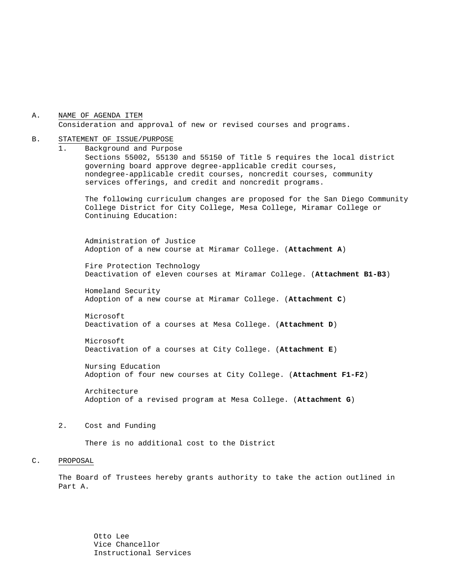A. NAME OF AGENDA ITEM Consideration and approval of new or revised courses and programs.

#### B. STATEMENT OF ISSUE/PURPOSE

1. Background and Purpose Sections 55002, 55130 and 55150 of Title 5 requires the local district governing board approve degree-applicable credit courses, nondegree-applicable credit courses, noncredit courses, community services offerings, and credit and noncredit programs.

The following curriculum changes are proposed for the San Diego Community College District for City College, Mesa College, Miramar College or Continuing Education:

 Administration of Justice Adoption of a new course at Miramar College. (**Attachment A**)

Fire Protection Technology Deactivation of eleven courses at Miramar College. (**Attachment B1-B3**)

Homeland Security Adoption of a new course at Miramar College. (**Attachment C**)

Microsoft Deactivation of a courses at Mesa College. (**Attachment D**)

Microsoft Deactivation of a courses at City College. (**Attachment E**)

Nursing Education Adoption of four new courses at City College. (**Attachment F1-F2**)

Architecture Adoption of a revised program at Mesa College. (**Attachment G**)

#### 2. Cost and Funding

There is no additional cost to the District

#### C. PROPOSAL

The Board of Trustees hereby grants authority to take the action outlined in Part A.

> Otto Lee Vice Chancellor Instructional Services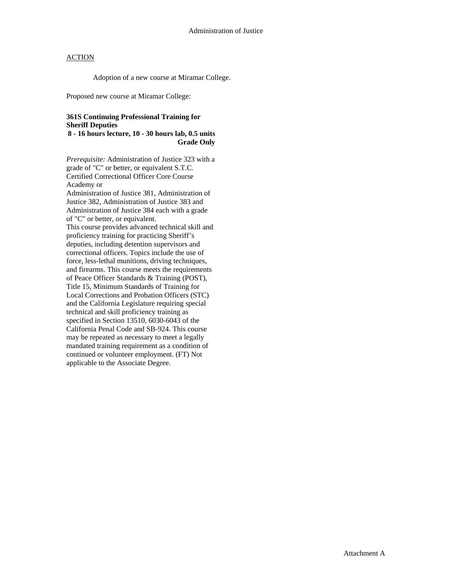Adoption of a new course at Miramar College.

Proposed new course at Miramar College:

## **361S Continuing Professional Training for Sheriff Deputies**

**8 - 16 hours lecture, 10 - 30 hours lab, 0.5 units Grade Only** 

*Prerequisite:* Administration of Justice 323 with a grade of "C" or better, or equivalent S.T.C. Certified Correctional Officer Core Course Academy or Administration of Justice 381, Administration of Justice 382, Administration of Justice 383 and Administration of Justice 384 each with a grade of "C" or better, or equivalent. This course provides advanced technical skill and proficiency training for practicing Sheriff's deputies, including detention supervisors and correctional officers. Topics include the use of force, less-lethal munitions, driving techniques, and firearms. This course meets the requirements of Peace Officer Standards & Training (POST), Title 15, Minimum Standards of Training for Local Corrections and Probation Officers (STC) and the California Legislature requiring special technical and skill proficiency training as specified in Section 13510, 6030-6043 of the California Penal Code and SB-924. This course may be repeated as necessary to meet a legally mandated training requirement as a condition of continued or volunteer employment. (FT) Not applicable to the Associate Degree.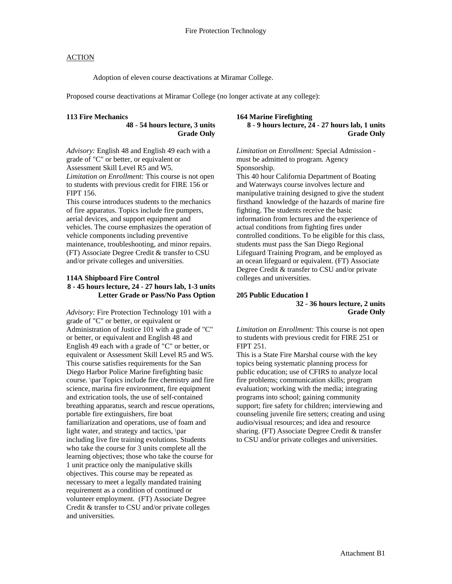Adoption of eleven course deactivations at Miramar College.

Proposed course deactivations at Miramar College (no longer activate at any college):

#### **113 Fire Mechanics**

**48 - 54 hours lecture, 3 units Grade Only** 

*Advisory:* English 48 and English 49 each with a grade of "C" or better, or equivalent or Assessment Skill Level R5 and W5. *Limitation on Enrollment:* This course is not open to students with previous credit for FIRE 156 or FIPT 156.

This course introduces students to the mechanics of fire apparatus. Topics include fire pumpers, aerial devices, and support equipment and vehicles. The course emphasizes the operation of vehicle components including preventive maintenance, troubleshooting, and minor repairs. (FT) Associate Degree Credit & transfer to CSU and/or private colleges and universities.

#### **114A Shipboard Fire Control 8 - 45 hours lecture, 24 - 27 hours lab, 1-3 units Letter Grade or Pass/No Pass Option**

*Advisory:* Fire Protection Technology 101 with a grade of "C" or better, or equivalent or Administration of Justice 101 with a grade of "C" or better, or equivalent and English 48 and English 49 each with a grade of "C" or better, or equivalent or Assessment Skill Level R5 and W5. This course satisfies requirements for the San Diego Harbor Police Marine firefighting basic course. \par Topics include fire chemistry and fire science, marina fire environment, fire equipment and extrication tools, the use of self-contained breathing apparatus, search and rescue operations, portable fire extinguishers, fire boat familiarization and operations, use of foam and light water, and strategy and tactics, \par including live fire training evolutions. Students who take the course for 3 units complete all the learning objectives; those who take the course for 1 unit practice only the manipulative skills objectives. This course may be repeated as necessary to meet a legally mandated training requirement as a condition of continued or volunteer employment. (FT) Associate Degree Credit & transfer to CSU and/or private colleges and universities.

#### **164 Marine Firefighting 8 - 9 hours lecture, 24 - 27 hours lab, 1 units Grade Only**

*Limitation on Enrollment:* Special Admission must be admitted to program. Agency Sponsorship.

This 40 hour California Department of Boating and Waterways course involves lecture and manipulative training designed to give the student firsthand knowledge of the hazards of marine fire fighting. The students receive the basic information from lectures and the experience of actual conditions from fighting fires under controlled conditions. To be eligible for this class, students must pass the San Diego Regional Lifeguard Training Program, and be employed as an ocean lifeguard or equivalent. (FT) Associate Degree Credit & transfer to CSU and/or private colleges and universities.

#### **205 Public Education I 32 - 36 hours lecture, 2 units Grade Only**

*Limitation on Enrollment:* This course is not open to students with previous credit for FIRE 251 or FIPT 251.

This is a State Fire Marshal course with the key topics being systematic planning process for public education; use of CFIRS to analyze local fire problems; communication skills; program evaluation; working with the media; integrating programs into school; gaining community support; fire safety for children; interviewing and counseling juvenile fire setters; creating and using audio/visual resources; and idea and resource sharing. (FT) Associate Degree Credit & transfer to CSU and/or private colleges and universities.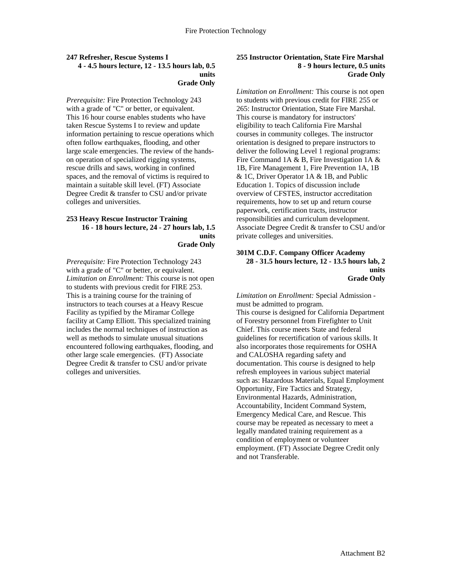#### **247 Refresher, Rescue Systems I 4 - 4.5 hours lecture, 12 - 13.5 hours lab, 0.5 units Grade Only**

*Prerequisite:* Fire Protection Technology 243 with a grade of "C" or better, or equivalent. This 16 hour course enables students who have taken Rescue Systems I to review and update information pertaining to rescue operations which often follow earthquakes, flooding, and other large scale emergencies. The review of the handson operation of specialized rigging systems, rescue drills and saws, working in confined spaces, and the removal of victims is required to maintain a suitable skill level. (FT) Associate Degree Credit & transfer to CSU and/or private colleges and universities.

#### **253 Heavy Rescue Instructor Training 16 - 18 hours lecture, 24 - 27 hours lab, 1.5 units Grade Only**

*Prerequisite:* Fire Protection Technology 243 with a grade of "C" or better, or equivalent. *Limitation on Enrollment:* This course is not open to students with previous credit for FIRE 253. This is a training course for the training of instructors to teach courses at a Heavy Rescue Facility as typified by the Miramar College facility at Camp Elliott. This specialized training includes the normal techniques of instruction as well as methods to simulate unusual situations encountered following earthquakes, flooding, and other large scale emergencies. (FT) Associate Degree Credit & transfer to CSU and/or private colleges and universities.

## **255 Instructor Orientation, State Fire Marshal 8 - 9 hours lecture, 0.5 units Grade Only**

*Limitation on Enrollment:* This course is not open to students with previous credit for FIRE 255 or 265: Instructor Orientation, State Fire Marshal. This course is mandatory for instructors' eligibility to teach California Fire Marshal courses in community colleges. The instructor orientation is designed to prepare instructors to deliver the following Level 1 regional programs: Fire Command 1A & B, Fire Investigation 1A & 1B, Fire Management 1, Fire Prevention 1A, 1B & 1C, Driver Operator 1A & 1B, and Public Education 1. Topics of discussion include overview of CFSTES, instructor accreditation requirements, how to set up and return course paperwork, certification tracts, instructor responsibilities and curriculum development. Associate Degree Credit & transfer to CSU and/or private colleges and universities.

#### **301M C.D.F. Company Officer Academy 28 - 31.5 hours lecture, 12 - 13.5 hours lab, 2 units Grade Only**

*Limitation on Enrollment:* Special Admission must be admitted to program. This course is designed for California Department of Forestry personnel from Firefighter to Unit Chief. This course meets State and federal guidelines for recertification of various skills. It also incorporates those requirements for OSHA and CALOSHA regarding safety and documentation. This course is designed to help refresh employees in various subject material such as: Hazardous Materials, Equal Employment Opportunity, Fire Tactics and Strategy, Environmental Hazards, Administration, Accountability, Incident Command System, Emergency Medical Care, and Rescue. This course may be repeated as necessary to meet a legally mandated training requirement as a condition of employment or volunteer employment. (FT) Associate Degree Credit only and not Transferable.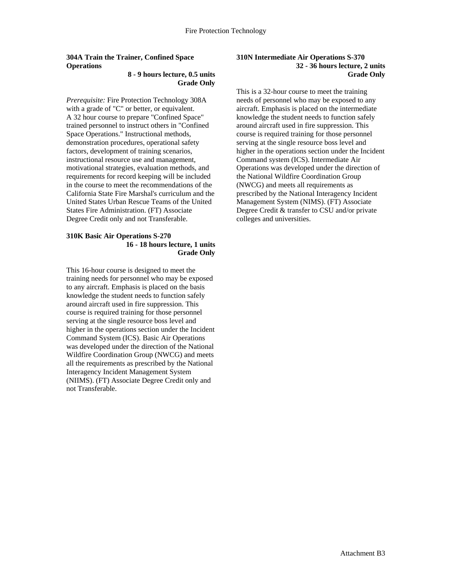# **304A Train the Trainer, Confined Space Operations**

#### **8 - 9 hours lecture, 0.5 units Grade Only**

*Prerequisite:* Fire Protection Technology 308A with a grade of "C" or better, or equivalent. A 32 hour course to prepare "Confined Space" trained personnel to instruct others in "Confined Space Operations." Instructional methods, demonstration procedures, operational safety factors, development of training scenarios, instructional resource use and management, motivational strategies, evaluation methods, and requirements for record keeping will be included in the course to meet the recommendations of the California State Fire Marshal's curriculum and the United States Urban Rescue Teams of the United States Fire Administration. (FT) Associate Degree Credit only and not Transferable.

#### **310K Basic Air Operations S-270 16 - 18 hours lecture, 1 units Grade Only**

This 16-hour course is designed to meet the training needs for personnel who may be exposed to any aircraft. Emphasis is placed on the basis knowledge the student needs to function safely around aircraft used in fire suppression. This course is required training for those personnel serving at the single resource boss level and higher in the operations section under the Incident Command System (ICS). Basic Air Operations was developed under the direction of the National Wildfire Coordination Group (NWCG) and meets all the requirements as prescribed by the National Interagency Incident Management System (NIIMS). (FT) Associate Degree Credit only and not Transferable.

### **310N Intermediate Air Operations S-370 32 - 36 hours lecture, 2 units Grade Only**

This is a 32-hour course to meet the training needs of personnel who may be exposed to any aircraft. Emphasis is placed on the intermediate knowledge the student needs to function safely around aircraft used in fire suppression. This course is required training for those personnel serving at the single resource boss level and higher in the operations section under the Incident Command system (ICS). Intermediate Air Operations was developed under the direction of the National Wildfire Coordination Group (NWCG) and meets all requirements as prescribed by the National Interagency Incident Management System (NIMS). (FT) Associate Degree Credit & transfer to CSU and/or private colleges and universities.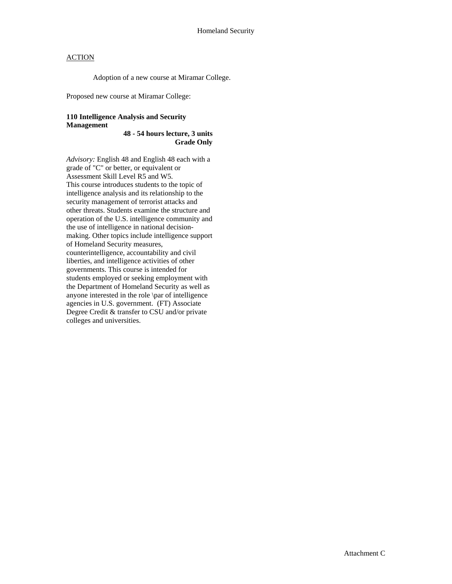Adoption of a new course at Miramar College.

Proposed new course at Miramar College:

## **110 Intelligence Analysis and Security Management**

**48 - 54 hours lecture, 3 units Grade Only** 

*Advisory:* English 48 and English 48 each with a grade of "C" or better, or equivalent or Assessment Skill Level R5 and W5. This course introduces students to the topic of intelligence analysis and its relationship to the security management of terrorist attacks and other threats. Students examine the structure and operation of the U.S. intelligence community and the use of intelligence in national decisionmaking. Other topics include intelligence support of Homeland Security measures, counterintelligence, accountability and civil liberties, and intelligence activities of other governments. This course is intended for students employed or seeking employment with the Department of Homeland Security as well as anyone interested in the role \par of intelligence agencies in U.S. government. (FT) Associate Degree Credit & transfer to CSU and/or private colleges and universities.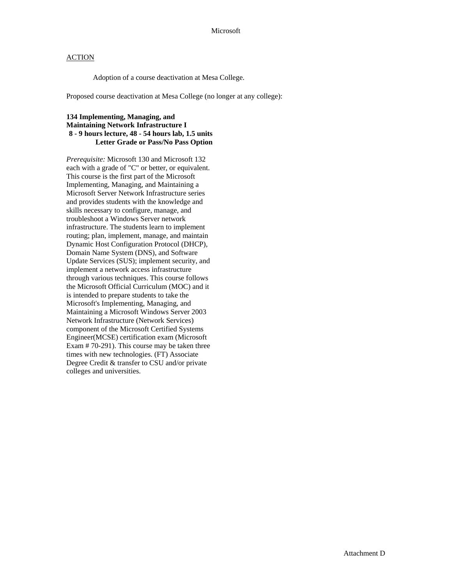Adoption of a course deactivation at Mesa College.

Proposed course deactivation at Mesa College (no longer at any college):

## **134 Implementing, Managing, and Maintaining Network Infrastructure I 8 - 9 hours lecture, 48 - 54 hours lab, 1.5 units Letter Grade or Pass/No Pass Option**

*Prerequisite:* Microsoft 130 and Microsoft 132 each with a grade of "C" or better, or equivalent. This course is the first part of the Microsoft Implementing, Managing, and Maintaining a Microsoft Server Network Infrastructure series and provides students with the knowledge and skills necessary to configure, manage, and troubleshoot a Windows Server network infrastructure. The students learn to implement routing; plan, implement, manage, and maintain Dynamic Host Configuration Protocol (DHCP), Domain Name System (DNS), and Software Update Services (SUS); implement security, and implement a network access infrastructure through various techniques. This course follows the Microsoft Official Curriculum (MOC) and it is intended to prepare students to take the Microsoft's Implementing, Managing, and Maintaining a Microsoft Windows Server 2003 Network Infrastructure (Network Services) component of the Microsoft Certified Systems Engineer(MCSE) certification exam (Microsoft Exam # 70-291). This course may be taken three times with new technologies. (FT) Associate Degree Credit & transfer to CSU and/or private colleges and universities.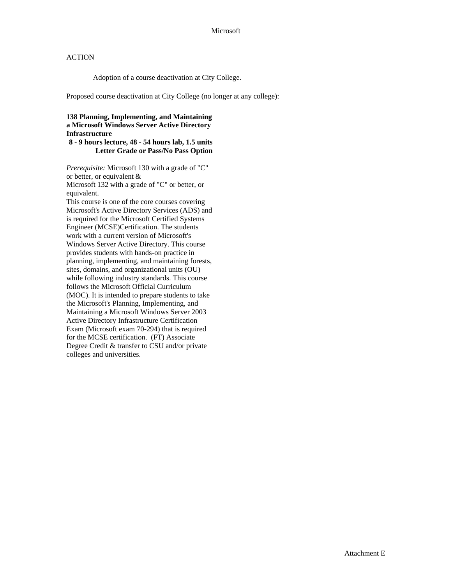Adoption of a course deactivation at City College.

Proposed course deactivation at City College (no longer at any college):

## **138 Planning, Implementing, and Maintaining a Microsoft Windows Server Active Directory Infrastructure**

# **8 - 9 hours lecture, 48 - 54 hours lab, 1.5 units Letter Grade or Pass/No Pass Option**

*Prerequisite:* Microsoft 130 with a grade of "C" or better, or equivalent & Microsoft 132 with a grade of "C" or better, or equivalent. This course is one of the core courses covering Microsoft's Active Directory Services (ADS) and is required for the Microsoft Certified Systems Engineer (MCSE)Certification. The students work with a current version of Microsoft's Windows Server Active Directory. This course provides students with hands-on practice in planning, implementing, and maintaining forests, sites, domains, and organizational units (OU) while following industry standards. This course follows the Microsoft Official Curriculum (MOC). It is intended to prepare students to take the Microsoft's Planning, Implementing, and Maintaining a Microsoft Windows Server 2003 Active Directory Infrastructure Certification Exam (Microsoft exam 70-294) that is required for the MCSE certification. (FT) Associate Degree Credit & transfer to CSU and/or private colleges and universities.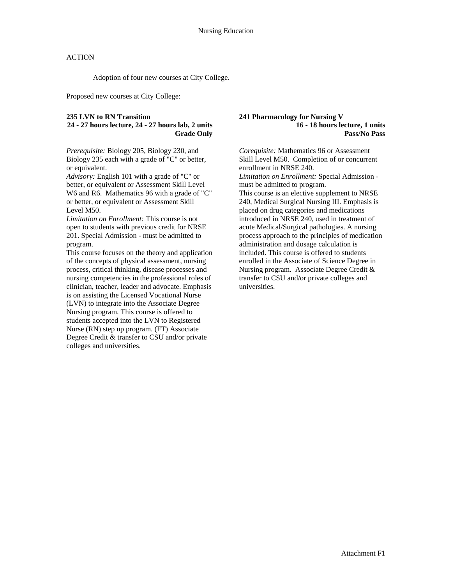Adoption of four new courses at City College.

Proposed new courses at City College:

## **235 LVN to RN Transition**

## **24 - 27 hours lecture, 24 - 27 hours lab, 2 units Grade Only**

*Prerequisite:* Biology 205, Biology 230, and Biology 235 each with a grade of "C" or better, or equivalent.

*Advisory:* English 101 with a grade of "C" or better, or equivalent or Assessment Skill Level W6 and R6. Mathematics 96 with a grade of "C" or better, or equivalent or Assessment Skill Level M50.

*Limitation on Enrollment:* This course is not open to students with previous credit for NRSE 201. Special Admission - must be admitted to program.

This course focuses on the theory and application of the concepts of physical assessment, nursing process, critical thinking, disease processes and nursing competencies in the professional roles of clinician, teacher, leader and advocate. Emphasis is on assisting the Licensed Vocational Nurse (LVN) to integrate into the Associate Degree Nursing program. This course is offered to students accepted into the LVN to Registered Nurse (RN) step up program. (FT) Associate Degree Credit & transfer to CSU and/or private colleges and universities.

#### **241 Pharmacology for Nursing V 16 - 18 hours lecture, 1 units Pass/No Pass**

*Corequisite:* Mathematics 96 or Assessment Skill Level M50. Completion of or concurrent enrollment in NRSE 240. *Limitation on Enrollment:* Special Admission must be admitted to program. This course is an elective supplement to NRSE 240, Medical Surgical Nursing III. Emphasis is placed on drug categories and medications introduced in NRSE 240, used in treatment of acute Medical/Surgical pathologies. A nursing process approach to the principles of medication administration and dosage calculation is included. This course is offered to students enrolled in the Associate of Science Degree in Nursing program. Associate Degree Credit & transfer to CSU and/or private colleges and universities.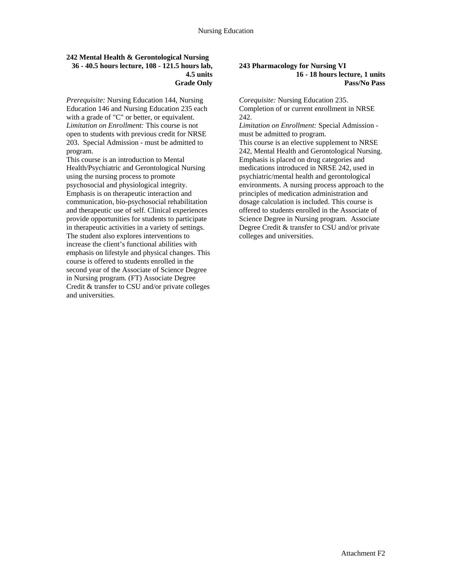#### **242 Mental Health & Gerontological Nursing 36 - 40.5 hours lecture, 108 - 121.5 hours lab, 4.5 units Grade Only**

*Prerequisite:* Nursing Education 144, Nursing Education 146 and Nursing Education 235 each with a grade of "C" or better, or equivalent. *Limitation on Enrollment:* This course is not open to students with previous credit for NRSE 203.Special Admission - must be admitted to program.

This course is an introduction to Mental Health/Psychiatric and Gerontological Nursing using the nursing process to promote psychosocial and physiological integrity. Emphasis is on therapeutic interaction and communication, bio-psychosocial rehabilitation and therapeutic use of self. Clinical experiences provide opportunities for students to participate in therapeutic activities in a variety of settings. The student also explores interventions to increase the client's functional abilities with emphasis on lifestyle and physical changes. This course is offered to students enrolled in the second year of the Associate of Science Degree in Nursing program. (FT) Associate Degree Credit & transfer to CSU and/or private colleges and universities.

#### **243 Pharmacology for Nursing VI 16 - 18 hours lecture, 1 units Pass/No Pass**

*Corequisite:* Nursing Education 235. Completion of or current enrollment in NRSE 242.

*Limitation on Enrollment:* Special Admission must be admitted to program.

This course is an elective supplement to NRSE 242, Mental Health and Gerontological Nursing. Emphasis is placed on drug categories and medications introduced in NRSE 242, used in psychiatric/mental health and gerontological environments. A nursing process approach to the principles of medication administration and dosage calculation is included. This course is offered to students enrolled in the Associate of Science Degree in Nursing program. Associate Degree Credit & transfer to CSU and/or private colleges and universities.